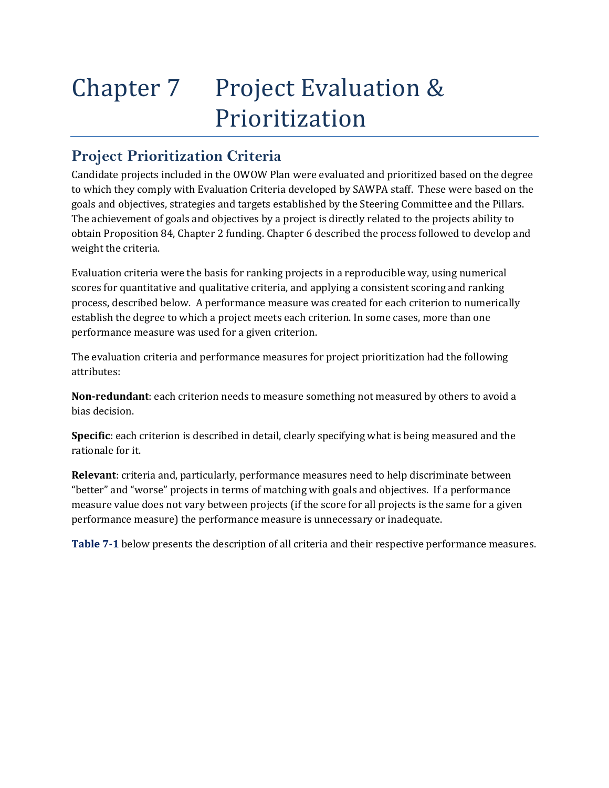# Chapter 7 Project Evaluation & Prioritization

# **Project Prioritization Criteria**

Candidate projects included in the OWOW Plan were evaluated and prioritized based on the degree to which they comply with Evaluation Criteria developed by SAWPA staff. These were based on the goals and objectives, strategies and targets established by the Steering Committee and the Pillars. The achievement of goals and objectives by a project is directly related to the projects ability to obtain Proposition 84, Chapter 2 funding. Chapter 6 described the process followed to develop and weight the criteria.

Evaluation criteria were the basis for ranking projects in a reproducible way, using numerical scores for quantitative and qualitative criteria, and applying a consistent scoring and ranking process, described below. A performance measure was created for each criterion to numerically establish the degree to which a project meets each criterion. In some cases, more than one performance measure was used for a given criterion.

The evaluation criteria and performance measures for project prioritization had the following attributes:

**Nonredundant**: each criterion needs to measure something not measured by others to avoid a bias decision.

**Specific**: each criterion is described in detail, clearly specifying what is being measured and the rationale for it.

**Relevant**: criteria and, particularly, performance measures need to help discriminate between "better" and "worse" projects in terms of matching with goals and objectives. If a performance measure value does not vary between projects (if the score for all projects is the same for a given performance measure) the performance measure is unnecessary or inadequate.

**Table 71** below presents the description of all criteria and their respective performance measures.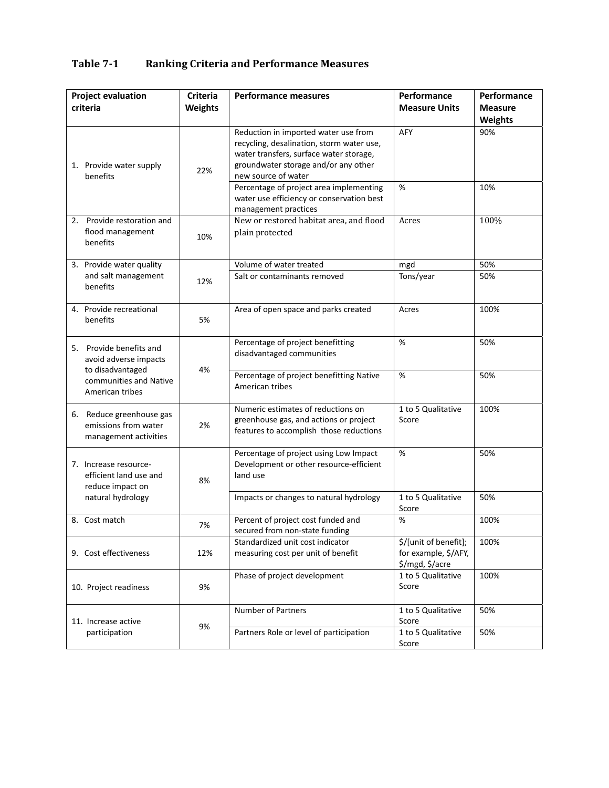| <b>Project evaluation</b><br>criteria |                                                                                                                   | <b>Criteria</b><br><b>Weights</b> | <b>Performance measures</b>                                                                                                                                                                 | Performance<br><b>Measure Units</b>                              | Performance<br><b>Measure</b><br><b>Weights</b> |
|---------------------------------------|-------------------------------------------------------------------------------------------------------------------|-----------------------------------|---------------------------------------------------------------------------------------------------------------------------------------------------------------------------------------------|------------------------------------------------------------------|-------------------------------------------------|
|                                       | 1. Provide water supply<br>benefits                                                                               | 22%                               | Reduction in imported water use from<br>recycling, desalination, storm water use,<br>water transfers, surface water storage,<br>groundwater storage and/or any other<br>new source of water | AFY<br>%                                                         | 90%<br>10%                                      |
|                                       |                                                                                                                   |                                   | Percentage of project area implementing<br>water use efficiency or conservation best<br>management practices                                                                                |                                                                  |                                                 |
|                                       | 2. Provide restoration and<br>flood management<br>benefits                                                        | 10%                               | New or restored habitat area, and flood<br>plain protected                                                                                                                                  | Acres                                                            | 100%                                            |
|                                       | 3. Provide water quality<br>and salt management<br>benefits                                                       |                                   | Volume of water treated                                                                                                                                                                     | mgd                                                              | 50%                                             |
|                                       |                                                                                                                   | 12%                               | Salt or contaminants removed                                                                                                                                                                | Tons/year                                                        | 50%                                             |
|                                       | 4. Provide recreational<br>benefits                                                                               | 5%                                | Area of open space and parks created                                                                                                                                                        | Acres                                                            | 100%                                            |
|                                       | 5. Provide benefits and<br>avoid adverse impacts<br>to disadvantaged<br>communities and Native<br>American tribes | 4%                                | Percentage of project benefitting<br>disadvantaged communities                                                                                                                              | %                                                                | 50%                                             |
|                                       |                                                                                                                   |                                   | Percentage of project benefitting Native<br>American tribes                                                                                                                                 | %                                                                | 50%                                             |
|                                       | 6. Reduce greenhouse gas<br>emissions from water<br>management activities                                         | 2%                                | Numeric estimates of reductions on<br>greenhouse gas, and actions or project<br>features to accomplish those reductions                                                                     | 1 to 5 Qualitative<br>Score                                      | 100%                                            |
|                                       | 7. Increase resource-<br>efficient land use and<br>reduce impact on<br>natural hydrology                          | 8%                                | Percentage of project using Low Impact<br>Development or other resource-efficient<br>land use                                                                                               | %                                                                | 50%                                             |
|                                       |                                                                                                                   |                                   | Impacts or changes to natural hydrology                                                                                                                                                     | 1 to 5 Qualitative<br>Score                                      | 50%                                             |
|                                       | 8. Cost match                                                                                                     | 7%                                | Percent of project cost funded and<br>secured from non-state funding                                                                                                                        | %                                                                | 100%                                            |
|                                       | 9. Cost effectiveness                                                                                             | 12%                               | Standardized unit cost indicator<br>measuring cost per unit of benefit                                                                                                                      | \$/[unit of benefit];<br>for example, \$/AFY,<br>\$/mgd, \$/acre | 100%                                            |
|                                       | 10. Project readiness                                                                                             | 9%                                | Phase of project development                                                                                                                                                                | 1 to 5 Qualitative<br>Score                                      | 100%                                            |
|                                       | 11. Increase active<br>participation                                                                              | 9%                                | Number of Partners                                                                                                                                                                          | 1 to 5 Qualitative<br>Score                                      | 50%                                             |
|                                       |                                                                                                                   |                                   | Partners Role or level of participation                                                                                                                                                     | 1 to 5 Qualitative<br>Score                                      | 50%                                             |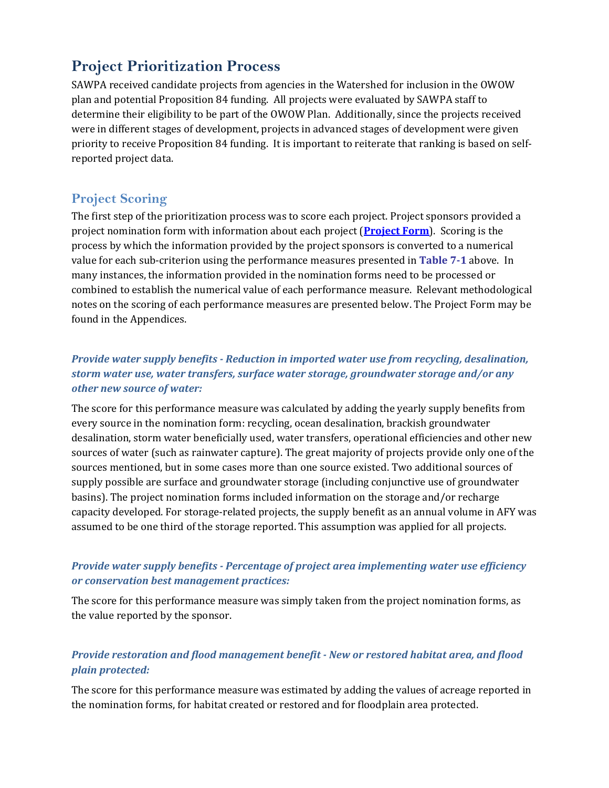# **Project Prioritization Process**

SAWPA received candidate projects from agencies in the Watershed for inclusion in the OWOW plan and potential Proposition 84 funding. All projects were evaluated by SAWPA staff to determine their eligibility to be part of the OWOW Plan. Additionally, since the projects received were in different stages of development, projects in advanced stages of development were given priority to receive Proposition 84 funding. It is important to reiterate that ranking is based on self‐ reported project data.

# **Project Scoring**

The first step of the prioritization process was to score each project. Project sponsors provided a project nomination form with information about each project (**Project Form**). Scoring is the process by which the information provided by the project sponsors is converted to a numerical value for each sub‐criterion using the performance measures presented in **Table 71** above. In many instances, the information provided in the nomination forms need to be processed or combined to establish the numerical value of each performance measure. Relevant methodological notes on the scoring of each performance measures are presented below. The Project Form may be found in the Appendices.

## *Provide water supply benefits Reduction in imported water use from recycling, desalination, storm water use, water transfers, surface water storage, groundwater storage and/or any other new source of water:*

The score for this performance measure was calculated by adding the yearly supply benefits from every source in the nomination form: recycling, ocean desalination, brackish groundwater desalination, storm water beneficially used, water transfers, operational efficiencies and other new sources of water (such as rainwater capture). The great majority of projects provide only one of the sources mentioned, but in some cases more than one source existed. Two additional sources of supply possible are surface and groundwater storage (including conjunctive use of groundwater basins). The project nomination forms included information on the storage and/or recharge capacity developed. For storage‐related projects, the supply benefit as an annual volume in AFY was assumed to be one third of the storage reported. This assumption was applied for all projects.

## *Provide water supply benefits Percentage of project area implementing water use efficiency or conservation best management practices:*

The score for this performance measure was simply taken from the project nomination forms, as the value reported by the sponsor.

## *Provide restoration and flood management benefit New or restored habitat area, and flood plain protected:*

The score for this performance measure was estimated by adding the values of acreage reported in the nomination forms, for habitat created or restored and for floodplain area protected.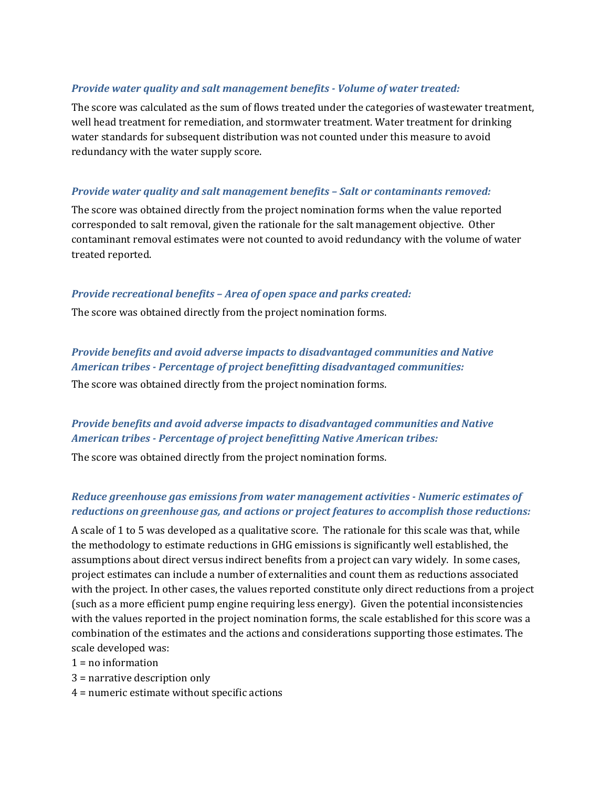#### *Provide water quality and salt management benefits Volume of water treated:*

The score was calculated as the sum of flows treated under the categories of wastewater treatment, well head treatment for remediation, and stormwater treatment. Water treatment for drinking water standards for subsequent distribution was not counted under this measure to avoid redundancy with the water supply score.

#### *Provide water quality and salt management benefits – Salt or contaminants removed:*

The score was obtained directly from the project nomination forms when the value reported corresponded to salt removal, given the rationale for the salt management objective. Other contaminant removal estimates were not counted to avoid redundancy with the volume of water treated reported.

#### *Provide recreational benefits – Area of open space and parks created:*

The score was obtained directly from the project nomination forms.

## *Provide benefits and avoid adverse impacts to disadvantaged communities and Native American tribes Percentage of project benefitting disadvantaged communities:*

The score was obtained directly from the project nomination forms.

#### *Provide benefits and avoid adverse impacts to disadvantaged communities and Native American tribes Percentage of project benefitting Native American tribes:*

The score was obtained directly from the project nomination forms.

#### *Reduce greenhouse gas emissions from water management activities Numeric estimates of reductions on greenhouse gas, and actions or project features to accomplish those reductions:*

A scale of 1 to 5 was developed as a qualitative score. The rationale for this scale was that, while the methodology to estimate reductions in GHG emissions is significantly well established, the assumptions about direct versus indirect benefits from a project can vary widely. In some cases, project estimates can include a number of externalities and count them as reductions associated with the project. In other cases, the values reported constitute only direct reductions from a project (such as a more efficient pump engine requiring less energy). Given the potential inconsistencies with the values reported in the project nomination forms, the scale established for this score was a combination of the estimates and the actions and considerations supporting those estimates. The scale developed was:

 $1 = no$  information

3 = narrative description only

4 = numeric estimate without specific actions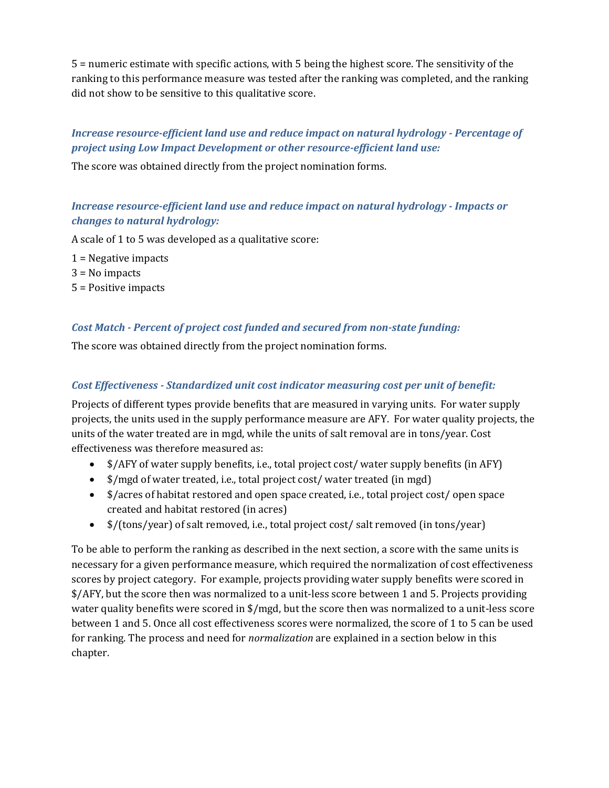5 = numeric estimate with specific actions, with 5 being the highest score. The sensitivity of the ranking to this performance measure was tested after the ranking was completed, and the ranking did not show to be sensitive to this qualitative score.

## *Increase resourceefficient land use and reduce impact on natural hydrology Percentage of project using Low Impact Development or other resourceefficient land use:*

The score was obtained directly from the project nomination forms.

## *Increase resourceefficient land use and reduce impact on natural hydrology Impacts or changes to natural hydrology:*

A scale of 1 to 5 was developed as a qualitative score:

1 = Negative impacts

3 = No impacts

5 = Positive impacts

#### *Cost Match Percent of project cost funded and secured from nonstate funding:*

The score was obtained directly from the project nomination forms.

#### *Cost Effectiveness Standardized unit cost indicator measuring cost per unit of benefit:*

Projects of different types provide benefits that are measured in varying units. For water supply projects, the units used in the supply performance measure are AFY. For water quality projects, the units of the water treated are in mgd, while the units of salt removal are in tons/year. Cost effectiveness was therefore measured as:

- \$/AFY of water supply benefits, i.e., total project cost/ water supply benefits (in AFY)
- \$/mgd of water treated, i.e., total project cost/ water treated (in mgd)
- \$/acres of habitat restored and open space created, i.e., total project cost/ open space created and habitat restored (in acres)
- \$/(tons/year) of salt removed, i.e., total project cost/ salt removed (in tons/year)

To be able to perform the ranking as described in the next section, a score with the same units is necessary for a given performance measure, which required the normalization of cost effectiveness scores by project category. For example, projects providing water supply benefits were scored in \$/AFY, but the score then was normalized to a unit‐less score between 1 and 5. Projects providing water quality benefits were scored in \$/mgd, but the score then was normalized to a unit-less score between 1 and 5. Once all cost effectiveness scores were normalized, the score of 1 to 5 can be used for ranking. The process and need for *normalization* are explained in a section below in this chapter.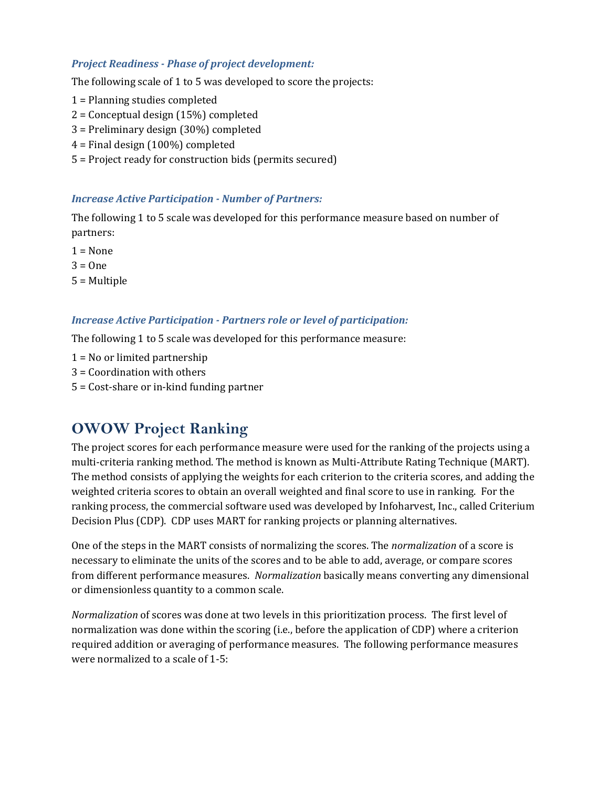#### *Project Readiness Phase of project development:*

The following scale of 1 to 5 was developed to score the projects:

- 1 = Planning studies completed
- 2 = Conceptual design (15%) completed
- 3 = Preliminary design (30%) completed
- 4 = Final design (100%) completed
- 5 = Project ready for construction bids (permits secured)

#### *Increase Active Participation Number of Partners:*

The following 1 to 5 scale was developed for this performance measure based on number of partners:

 $1 = None$ 

 $3 = One$ 

5 = Multiple

#### *Increase Active Participation Partners role or level of participation:*

The following 1 to 5 scale was developed for this performance measure:

1 = No or limited partnership

- 3 = Coordination with others
- 5 = Cost‐share or in‐kind funding partner

# **OWOW Project Ranking**

The project scores for each performance measure were used for the ranking of the projects using a multi‐criteria ranking method. The method is known as Multi‐Attribute Rating Technique (MART). The method consists of applying the weights for each criterion to the criteria scores, and adding the weighted criteria scores to obtain an overall weighted and final score to use in ranking. For the ranking process, the commercial software used was developed by Infoharvest, Inc., called Criterium Decision Plus (CDP). CDP uses MART for ranking projects or planning alternatives.

One of the steps in the MART consists of normalizing the scores. The *normalization* of a score is necessary to eliminate the units of the scores and to be able to add, average, or compare scores from different performance measures. *Normalization* basically means converting any dimensional or dimensionless quantity to a common scale.

*Normalization* of scores was done at two levels in this prioritization process. The first level of normalization was done within the scoring (i.e., before the application of CDP) where a criterion required addition or averaging of performance measures. The following performance measures were normalized to a scale of 1‐5: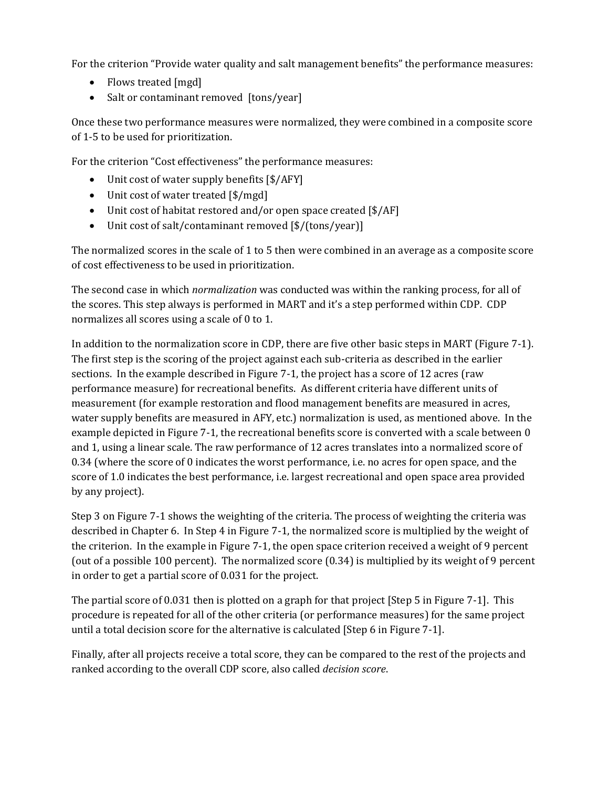For the criterion "Provide water quality and salt management benefits" the performance measures:

- Flows treated [mgd]
- Salt or contaminant removed [tons/year]

Once these two performance measures were normalized, they were combined in a composite score of 1‐5 to be used for prioritization.

For the criterion "Cost effectiveness" the performance measures:

- Unit cost of water supply benefits [\$/AFY]
- Unit cost of water treated [\$/mgd]
- Unit cost of habitat restored and/or open space created [\$/AF]
- Unit cost of salt/contaminant removed [\$/(tons/year)]

The normalized scores in the scale of 1 to 5 then were combined in an average as a composite score of cost effectiveness to be used in prioritization.

The second case in which *normalization* was conducted was within the ranking process, for all of the scores. This step always is performed in MART and it's a step performed within CDP. CDP normalizes all scores using a scale of 0 to 1.

In addition to the normalization score in CDP, there are five other basic steps in MART (Figure 7‐1). The first step is the scoring of the project against each sub‐criteria as described in the earlier sections. In the example described in Figure 7‐1, the project has a score of 12 acres (raw performance measure) for recreational benefits. As different criteria have different units of measurement (for example restoration and flood management benefits are measured in acres, water supply benefits are measured in AFY, etc.) normalization is used, as mentioned above. In the example depicted in Figure 7-1, the recreational benefits score is converted with a scale between 0 and 1, using a linear scale. The raw performance of 12 acres translates into a normalized score of 0.34 (where the score of 0 indicates the worst performance, i.e. no acres for open space, and the score of 1.0 indicates the best performance, i.e. largest recreational and open space area provided by any project).

Step 3 on Figure 7‐1 shows the weighting of the criteria. The process of weighting the criteria was described in Chapter 6. In Step 4 in Figure 7‐1, the normalized score is multiplied by the weight of the criterion. In the example in Figure 7‐1, the open space criterion received a weight of 9 percent (out of a possible 100 percent). The normalized score (0.34) is multiplied by its weight of 9 percent in order to get a partial score of 0.031 for the project.

The partial score of 0.031 then is plotted on a graph for that project [Step 5 in Figure 7‐1]. This procedure is repeated for all of the other criteria (or performance measures) for the same project until a total decision score for the alternative is calculated [Step 6 in Figure 7‐1].

Finally, after all projects receive a total score, they can be compared to the rest of the projects and ranked according to the overall CDP score, also called *decision score*.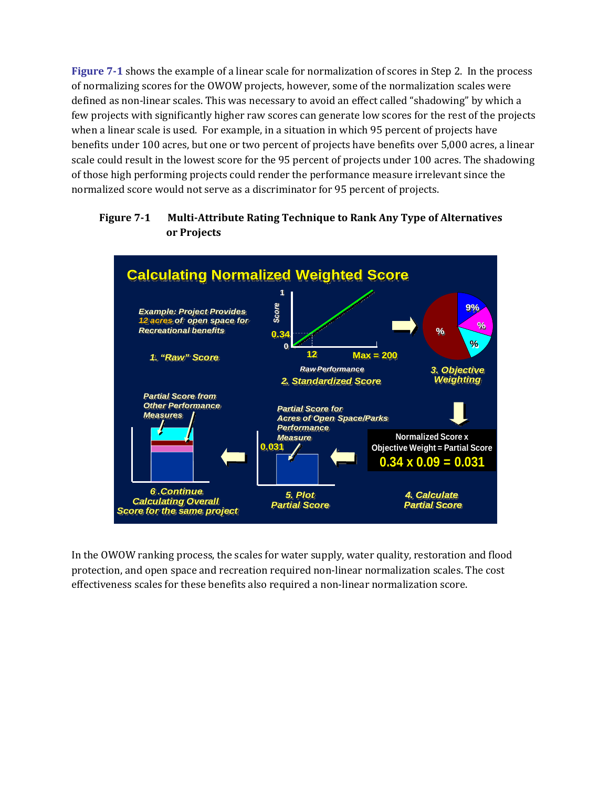**Figure 71** shows the example of a linear scale for normalization of scores in Step 2. In the process of normalizing scores for the OWOW projects, however, some of the normalization scales were defined as non‐linear scales. This was necessary to avoid an effect called "shadowing" by which a few projects with significantly higher raw scores can generate low scores for the rest of the projects when a linear scale is used. For example, in a situation in which 95 percent of projects have benefits under 100 acres, but one or two percent of projects have benefits over 5,000 acres, a linear scale could result in the lowest score for the 95 percent of projects under 100 acres. The shadowing of those high performing projects could render the performance measure irrelevant since the normalized score would not serve as a discriminator for 95 percent of projects.

#### **Figure 71 MultiAttribute Rating Technique to Rank Any Type of Alternatives or Projects**



In the OWOW ranking process, the scales for water supply, water quality, restoration and flood protection, and open space and recreation required non‐linear normalization scales. The cost effectiveness scales for these benefits also required a non-linear normalization score.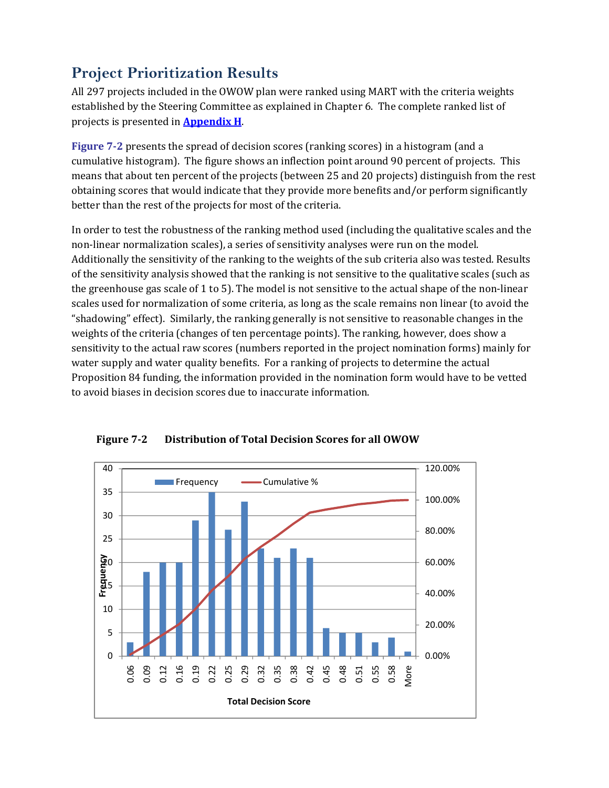# **Project Prioritization Results**

All 297 projects included in the OWOW plan were ranked using MART with the criteria weights established by the Steering Committee as explained in Chapter 6. The complete ranked list of projects is presented in **Appendix H**.

**Figure 72** presents the spread of decision scores (ranking scores) in a histogram (and a cumulative histogram). The figure shows an inflection point around 90 percent of projects. This means that about ten percent of the projects (between 25 and 20 projects) distinguish from the rest obtaining scores that would indicate that they provide more benefits and/or perform significantly better than the rest of the projects for most of the criteria.

In order to test the robustness of the ranking method used (including the qualitative scales and the non‐linear normalization scales), a series of sensitivity analyses were run on the model. Additionally the sensitivity of the ranking to the weights of the sub criteria also was tested. Results of the sensitivity analysis showed that the ranking is not sensitive to the qualitative scales (such as the greenhouse gas scale of 1 to 5). The model is not sensitive to the actual shape of the non‐linear scales used for normalization of some criteria, as long as the scale remains non linear (to avoid the "shadowing" effect). Similarly, the ranking generally is not sensitive to reasonable changes in the weights of the criteria (changes of ten percentage points). The ranking, however, does show a sensitivity to the actual raw scores (numbers reported in the project nomination forms) mainly for water supply and water quality benefits. For a ranking of projects to determine the actual Proposition 84 funding, the information provided in the nomination form would have to be vetted to avoid biases in decision scores due to inaccurate information.



**Figure 72 Distribution of Total Decision Scores for all OWOW**